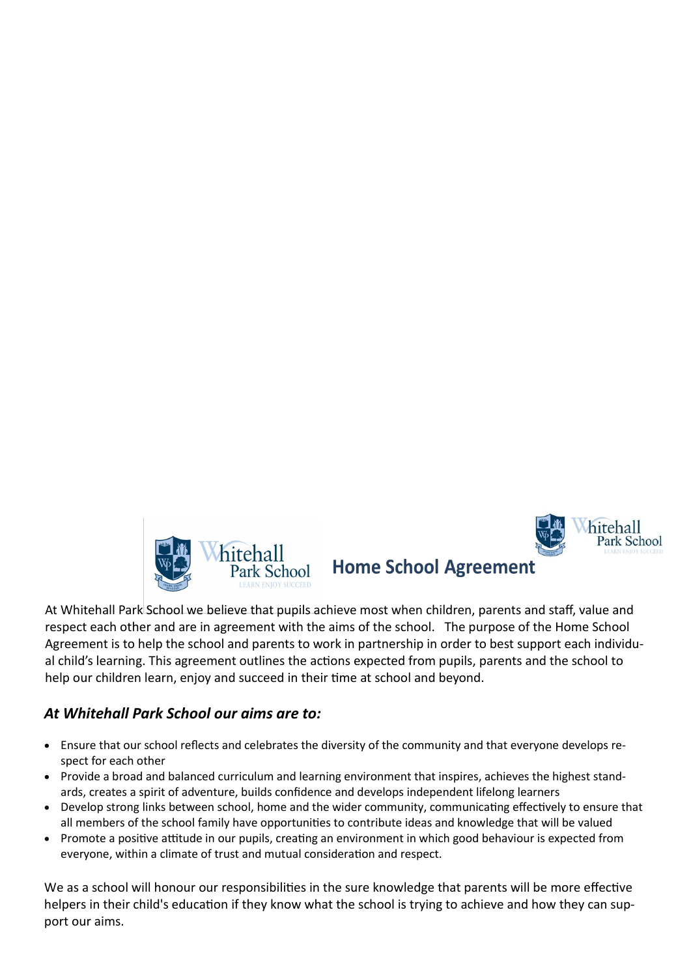



### **Home School Agreement**

At Whitehall Park School we believe that pupils achieve most when children, parents and staff, value and respect each other and are in agreement with the aims of the school. The purpose of the Home School Agreement is to help the school and parents to work in partnership in order to best support each individual child's learning. This agreement outlines the actions expected from pupils, parents and the school to help our children learn, enjoy and succeed in their time at school and beyond.

### *At Whitehall Park School our aims are to:*

- Ensure that our school reflects and celebrates the diversity of the community and that everyone develops respect for each other
- Provide a broad and balanced curriculum and learning environment that inspires, achieves the highest standards, creates a spirit of adventure, builds confidence and develops independent lifelong learners
- Develop strong links between school, home and the wider community, communicating effectively to ensure that all members of the school family have opportunities to contribute ideas and knowledge that will be valued
- Promote a positive attitude in our pupils, creating an environment in which good behaviour is expected from everyone, within a climate of trust and mutual consideration and respect.

We as a school will honour our responsibilities in the sure knowledge that parents will be more effective helpers in their child's education if they know what the school is trying to achieve and how they can support our aims.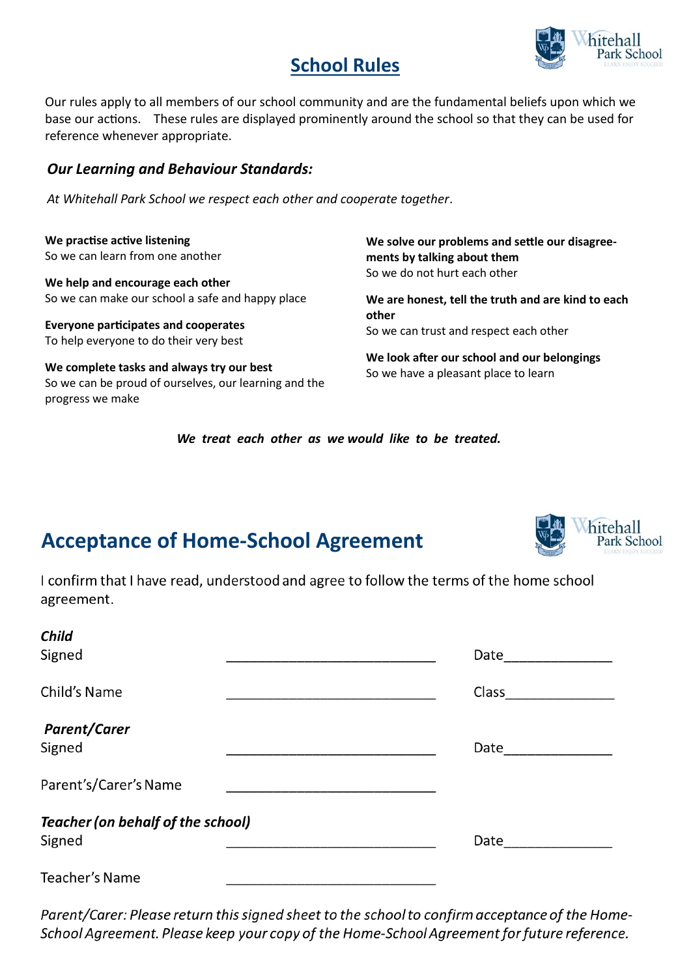# **School Rules**



Our rules apply to all members of our school community and are the fundamental beliefs upon which we base our actions. These rules are displayed prominently around the school so that they can be used for reference whenever appropriate.

### *Our Learning and Behaviour Standards:*

*At Whitehall Park School we respect each other and cooperate together*.

**We practise active listening** So we can learn from one another

**We help and encourage each other** So we can make our school a safe and happy place

**Everyone participates and cooperates** To help everyone to do their very best

**We complete tasks and always try our best** So we can be proud of ourselves, our learning and the progress we make

**We solve our problems and settle our disagreements by talking about them** So we do not hurt each other

**We are honest, tell the truth and are kind to each other** So we can trust and respect each other

**We look after our school and our belongings** So we have a pleasant place to learn

*We treat each other as we would like to be treated.*

# **Acceptance of Home-School Agreement**



I confirm that I have read, understood and agree to follow the terms of the home school agreement.

| <b>Child</b>                                               |       |
|------------------------------------------------------------|-------|
| Signed                                                     | Date  |
| Child's Name                                               | Class |
| <b>Parent/Carer</b><br>Signed                              | Date  |
| Parent's/Carer's Name                                      |       |
| <b>Teacher (on behalf of the school)</b><br>Signed<br>Date |       |
| <b>Teacher's Name</b>                                      |       |

Parent/Carer: Please return this signed sheet to the school to confirm acceptance of the Home-School Agreement. Please keep your copy of the Home-School Agreement for future reference.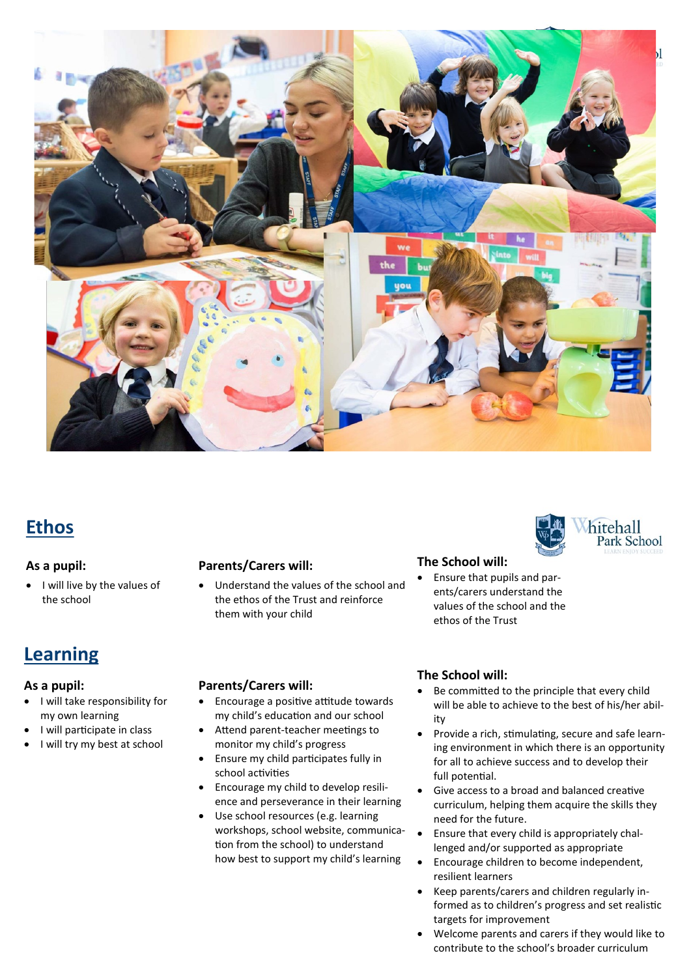

## **Ethos**

#### **As a pupil:**

• I will live by the values of the school

### **Learning**

#### **As a pupil:**

- I will take responsibility for my own learning
- I will participate in class
- I will try my best at school

#### **Parents/Carers will:**

 Understand the values of the school and the ethos of the Trust and reinforce them with your child

#### **Parents/Carers will:**

- Encourage a positive attitude towards my child's education and our school
- Attend parent-teacher meetings to monitor my child's progress
- Ensure my child participates fully in school activities
- Encourage my child to develop resilience and perseverance in their learning
- Use school resources (e.g. learning workshops, school website, communication from the school) to understand how best to support my child's learning

#### **The School will:**

 Ensure that pupils and parents/carers understand the values of the school and the ethos of the Trust

#### **The School will:**

 Be committed to the principle that every child will be able to achieve to the best of his/her ability

hitehall Park School

- Provide a rich, stimulating, secure and safe learning environment in which there is an opportunity for all to achieve success and to develop their full potential.
- Give access to a broad and balanced creative curriculum, helping them acquire the skills they need for the future.
- Ensure that every child is appropriately challenged and/or supported as appropriate
- Encourage children to become independent, resilient learners
- Keep parents/carers and children regularly informed as to children's progress and set realistic targets for improvement
- Welcome parents and carers if they would like to contribute to the school's broader curriculum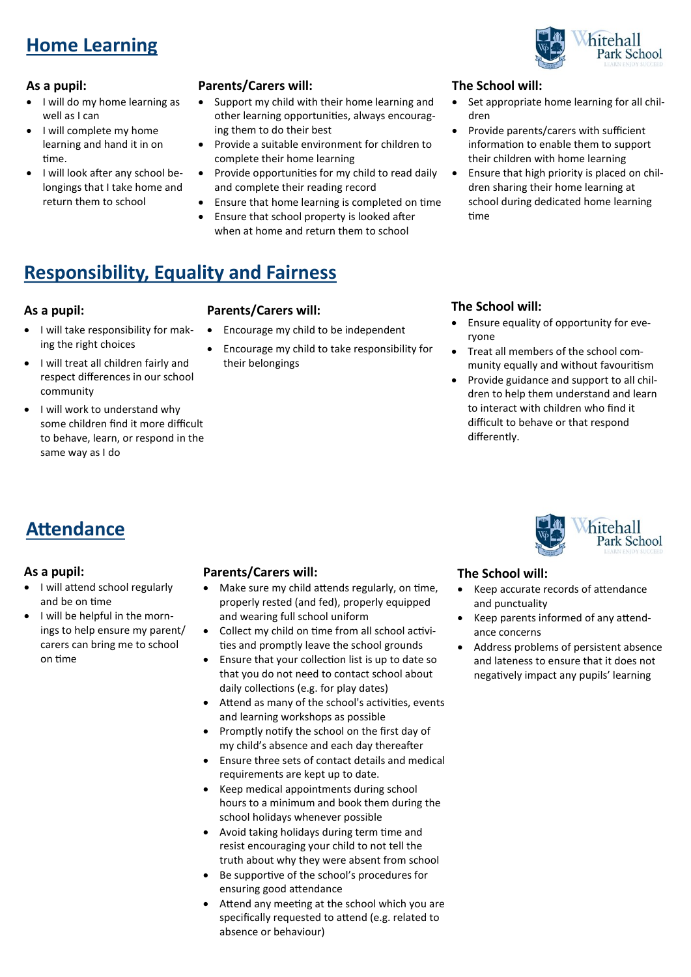# **Home Learning**

#### **As a pupil:**

- I will do my home learning as well as I can
- I will complete my home learning and hand it in on time.
- I will look after any school belongings that I take home and return them to school

#### **Parents/Carers will:**

- Support my child with their home learning and other learning opportunities, always encouraging them to do their best
- Provide a suitable environment for children to complete their home learning
- Provide opportunities for my child to read daily and complete their reading record
- Ensure that home learning is completed on time
- Ensure that school property is looked after when at home and return them to school

#### **The School will:**

- Set appropriate home learning for all children
- Provide parents/carers with sufficient information to enable them to support their children with home learning
- Ensure that high priority is placed on children sharing their home learning at school during dedicated home learning time

## **Responsibility, Equality and Fairness**

#### **As a pupil:**

- I will take responsibility for making the right choices
- I will treat all children fairly and respect differences in our school community
- I will work to understand why some children find it more difficult to behave, learn, or respond in the same way as I do

#### **Parents/Carers will:**

- Encourage my child to be independent
- Encourage my child to take responsibility for their belongings

#### **The School will:**

- Ensure equality of opportunity for everyone
- Treat all members of the school community equally and without favouritism
- Provide guidance and support to all children to help them understand and learn to interact with children who find it difficult to behave or that respond differently.

## **Attendance**

#### **As a pupil:**

- I will attend school regularly and be on time
- I will be helpful in the mornings to help ensure my parent/ carers can bring me to school on time

#### **Parents/Carers will:**

- Make sure my child attends regularly, on time, properly rested (and fed), properly equipped and wearing full school uniform
- Collect my child on time from all school activities and promptly leave the school grounds
- Ensure that your collection list is up to date so that you do not need to contact school about daily collections (e.g. for play dates)
- Attend as many of the school's activities, events and learning workshops as possible
- Promptly notify the school on the first day of my child's absence and each day thereafter
- Ensure three sets of contact details and medical requirements are kept up to date.
- Keep medical appointments during school hours to a minimum and book them during the school holidays whenever possible
- Avoid taking holidays during term time and resist encouraging your child to not tell the truth about why they were absent from school
- Be supportive of the school's procedures for ensuring good attendance
- Attend any meeting at the school which you are specifically requested to attend (e.g. related to absence or behaviour)



#### **The School will:**

- Keep accurate records of attendance and punctuality
- Keep parents informed of any attendance concerns
- Address problems of persistent absence and lateness to ensure that it does not negatively impact any pupils' learning